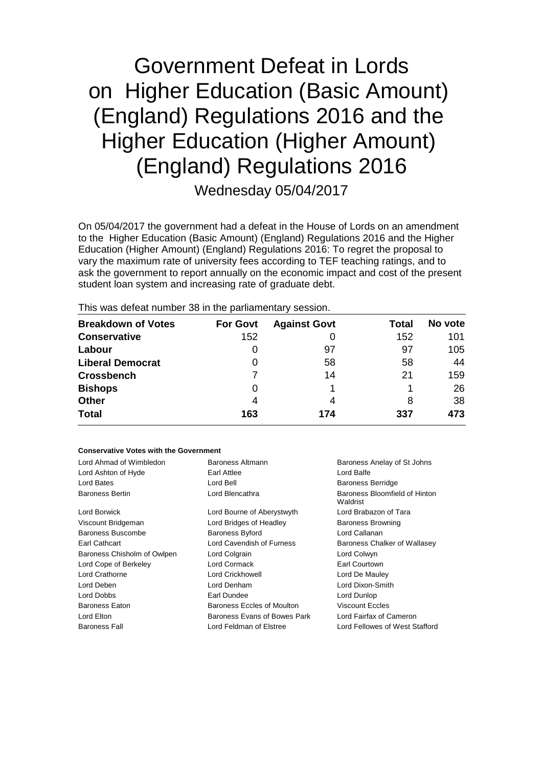# Government Defeat in Lords on Higher Education (Basic Amount) (England) Regulations 2016 and the Higher Education (Higher Amount) (England) Regulations 2016

Wednesday 05/04/2017

On 05/04/2017 the government had a defeat in the House of Lords on an amendment to the Higher Education (Basic Amount) (England) Regulations 2016 and the Higher Education (Higher Amount) (England) Regulations 2016: To regret the proposal to vary the maximum rate of university fees according to TEF teaching ratings, and to ask the government to report annually on the economic impact and cost of the present student loan system and increasing rate of graduate debt.

This was defeat number 38 in the parliamentary session.

| <b>Breakdown of Votes</b> | <b>For Govt</b> | <b>Against Govt</b> | Total | No vote |
|---------------------------|-----------------|---------------------|-------|---------|
| <b>Conservative</b>       | 152             |                     | 152   | 101     |
| Labour                    | 0               | 97                  | 97    | 105     |
| <b>Liberal Democrat</b>   | 0               | 58                  | 58    | 44      |
| <b>Crossbench</b>         |                 | 14                  | 21    | 159     |
| <b>Bishops</b>            | 0               |                     |       | 26      |
| <b>Other</b>              | 4               | 4                   | 8     | 38      |
| <b>Total</b>              | 163             | 174                 | 337   | 473     |

#### **Conservative Votes with the Government**

| Lord Ahmad of Wimbledon     | Baroness Altmann                                        | Baroness Anelay of St Johns               |  |
|-----------------------------|---------------------------------------------------------|-------------------------------------------|--|
| Lord Ashton of Hyde         | Lord Balfe<br>Earl Attlee                               |                                           |  |
| Lord Bates                  | Lord Bell                                               | <b>Baroness Berridge</b>                  |  |
| <b>Baroness Bertin</b>      | Lord Blencathra                                         | Baroness Bloomfield of Hinton<br>Waldrist |  |
| Lord Borwick                | Lord Bourne of Aberystwyth                              | Lord Brabazon of Tara                     |  |
| Viscount Bridgeman          | Lord Bridges of Headley                                 | <b>Baroness Browning</b>                  |  |
| Baroness Buscombe           | <b>Baroness Byford</b>                                  | Lord Callanan                             |  |
| Earl Cathcart               | Lord Cavendish of Furness                               | Baroness Chalker of Wallasey              |  |
| Baroness Chisholm of Owlpen | Lord Colgrain                                           | Lord Colwyn                               |  |
| Lord Cope of Berkeley       | Lord Cormack                                            | Earl Courtown                             |  |
| Lord Crathorne              | Lord Crickhowell                                        | Lord De Mauley                            |  |
| Lord Deben                  | Lord Denham                                             | Lord Dixon-Smith                          |  |
| Lord Dobbs                  | Earl Dundee<br>Lord Dunlop                              |                                           |  |
| <b>Baroness Eaton</b>       | Baroness Eccles of Moulton<br>Viscount Eccles           |                                           |  |
| Lord Elton                  | Baroness Evans of Bowes Park<br>Lord Fairfax of Cameron |                                           |  |
| <b>Baroness Fall</b>        | Lord Feldman of Elstree                                 | Lord Fellowes of West Stafford            |  |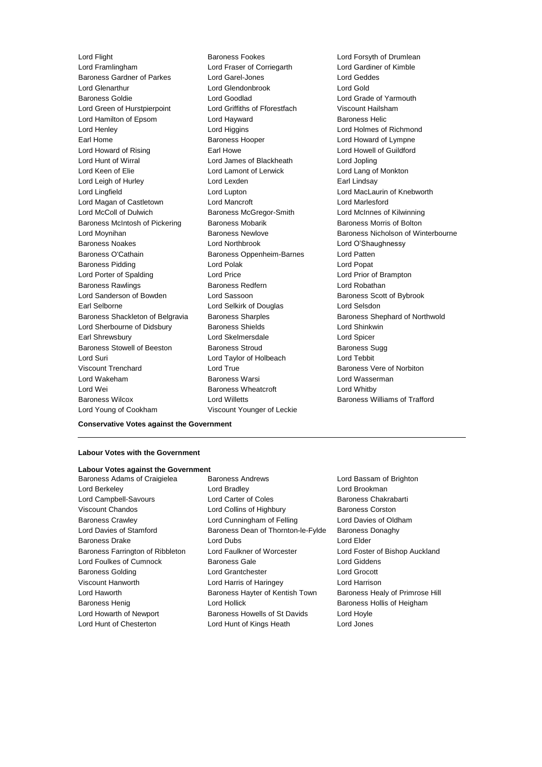Lord Framlingham Lord Fraser of Corriegarth Lord Gardiner of Kimble Baroness Gardner of Parkes Lord Garel-Jones Lord Geddes Lord Glenarthur Lord Glendonbrook Lord Gold Baroness Goldie Lord Goodlad Lord Grade of Yarmouth Lord Green of Hurstpierpoint Lord Griffiths of Fforestfach Viscount Hailsham Lord Hamilton of Epsom Lord Hayward **Baroness Helic** Lord Henley Lord Higgins Lord Holmes of Richmond Earl Home **Baroness Hooper Baroness Hooper** Lord Howard of Lympne Lord Howard of Rising **Earl Howe** Earl Howe Lord Howell of Guildford Lord Hunt of Wirral Lord James of Blackheath Lord Jopling Lord Keen of Elie **Lord Lamont of Lerwick** Lord Lang of Monkton Lord Leigh of Hurley **Lord Lexden** Earl Lindsay Lord Lingfield Lord Lupton Lord MacLaurin of Knebworth Lord Magan of Castletown Lord Mancroft **Lord Mancroft** Lord Marlesford Lord McColl of Dulwich Baroness McGregor-Smith Lord McInnes of Kilwinning Baroness McIntosh of Pickering Baroness Mobarik Baroness Morris of Bolton Baroness Noakes Lord Northbrook Lord O'Shaughnessy Baroness O'Cathain **Baroness Oppenheim-Barnes** Lord Patten Baroness Pidding Lord Polak Lord Popat Lord Porter of Spalding **Lord Price** Lord Price **Lord Prior Communist Lord Prior Communist Prior** Communist Lord Prior of Brampton Baroness Rawlings **Baroness Redfern Baroness Redfern** Lord Robathan Lord Sanderson of Bowden Lord Sassoon and Baroness Scott of Bybrook Earl Selborne Lord Selkirk of Douglas Lord Selsdon Baroness Shackleton of Belgravia Baroness Sharples Baroness Shephard of Northwold Lord Sherbourne of Didsbury **Baroness Shields Lord Shinkwin** Earl Shrewsbury Lord Skelmersdale Lord Spicer Baroness Stowell of Beeston Baroness Stroud Baroness Sugg Lord Suri Lord Taylor of Holbeach Lord Tebbit Viscount Trenchard Lord True **Baroness** Vere of Norbiton Lord Wakeham Baroness Warsi Lord Wasserman Lord Wei **Baroness Wheatcroft** Lord Whitby **Contains Lord Whitby** Baroness Wilcox Lord Willetts Baroness Williams of Trafford

Lord Flight **Baroness Fookes** Lord Forsyth of Drumlean Lord Young of Cookham Viscount Younger of Leckie

Lord Moynihan **Baroness Newlove** Baroness Newlove **Baroness Nicholson of Winterbourne** 

#### **Conservative Votes against the Government**

#### **Labour Votes with the Government**

### **Labour Votes against the Government**

Baroness Adams of Craigielea Baroness Andrews Lord Bassam of Brighton Lord Berkeley **Lord Bradley Lord Bradley Lord Brookman** Lord Campbell-Savours **Lord Carter of Coles** Baroness Chakrabarti Viscount Chandos **Lord Collins of Highbury** Baroness Corston Baroness Crawley **Lord Cunningham of Felling** Lord Davies of Oldham Lord Davies of Stamford Baroness Dean of Thornton-le-Fylde Baroness Donaghy Baroness Drake Lord Dubs Lord Elder Baroness Farrington of Ribbleton Lord Faulkner of Worcester Lord Foster of Bishop Auckland Lord Foulkes of Cumnock Baroness Gale Controller Lord Giddens Baroness Golding Lord Grantchester Lord Grocott Viscount Hanworth Lord Harris of Haringey Lord Harrison Lord Haworth **Baroness Hayter of Kentish Town** Baroness Healy of Primrose Hill Baroness Henig Lord Hollick Baroness Hollis of Heigham Lord Howarth of Newport **Baroness Howells of St Davids** Lord Hoyle Lord Hunt of Chesterton Lord Hunt of Kings Heath Lord Jones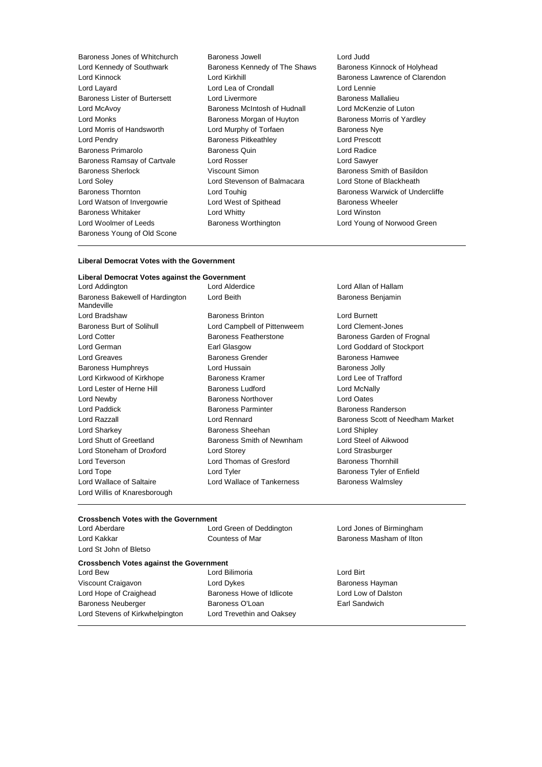Baroness Young of Old Scone

Baroness Jones of Whitchurch Baroness Jowell Lord Judd Lord Kennedy of Southwark **Baroness Kennedy of The Shaws** Baroness Kinnock of Holyhead Lord Kinnock Lord Kirkhill Baroness Lawrence of Clarendon Lord Layard Lord Lea of Crondall Lord Lennie Baroness Lister of Burtersett Lord Livermore **Baroness Mallalieu** Baroness Mallalieu Lord McAvoy Baroness McIntosh of Hudnall Lord McKenzie of Luton Lord Monks **Baroness Morgan of Huyton** Baroness Morris of Yardley Lord Morris of Handsworth **Lord Murphy of Torfaen** Baroness Nye Lord Pendry Baroness Pitkeathley Lord Prescott Baroness Primarolo Baroness Quin Lord Radice Baroness Ramsay of Cartvale Lord Rosser Lord Sawyer Baroness Sherlock Viscount Simon Baroness Smith of Basildon Lord Soley Lord Stevenson of Balmacara Lord Stone of Blackheath Baroness Thornton **Baroness Thornton** Lord Touhig **Baroness Warwick of Undercliffe** Lord Watson of Invergowrie Lord West of Spithead Baroness Wheeler Baroness Whitaker Lord Whitty Lord Winston Lord Woolmer of Leeds Baroness Worthington Lord Young of Norwood Green

Lord Alderdice **Lord Allan of Hallam** 

#### **Liberal Democrat Votes with the Government**

## **Liberal Democrat Votes against the Government**

Baroness Bakewell of Hardington Mandeville Lord Bradshaw Baroness Brinton Lord Burnett Baroness Burt of Solihull Lord Campbell of Pittenweem Lord Clement-Jones Lord Cotter **Baroness Featherstone** Baroness Garden of Frognal Lord German Earl Glasgow Lord Goddard of Stockport Lord Greaves Baroness Grender Baroness Hamwee Baroness Humphreys **Lord Hussain Baroness Jolly Baroness Jolly** Lord Kirkwood of Kirkhope Baroness Kramer Lord Lee of Trafford Lord Lester of Herne Hill **Baroness Ludford Lord Lord McNally** Lord Newby Baroness Northover Lord Oates Lord Paddick **Baroness Parminter** Baroness Parminter Baroness Randerson Lord Sharkey **Baroness Sheehan** Lord Shipley **Lord Shipley** Lord Shutt of Greetland Baroness Smith of Newnham Lord Steel of Aikwood Lord Stoneham of Droxford Lord Storey Lord Strasburger Lord Teverson **Lord Thomas of Gresford** Baroness Thornhill Lord Tope **Lord Tyler Lord Tyler Baroness Tyler of Enfield** Lord Wallace of Saltaire **Lord Wallace of Tankerness** Baroness Walmsley Lord Willis of Knaresborough

Lord Beith **Baroness** Benjamin Lord Razzall Lord Rennard Baroness Scott of Needham Market

#### **Crossbench Votes with the Government**

Lord Aberdare Lord Green of Deddington Lord Jones of Birmingham Lord Kakkar **Countess of Mar** Baroness Masham of Ilton Baroness Masham of Ilton

### **Crossbench Votes against the Government**

Viscount Craigavon **Communist Craigavon** Lord Dykes **Baroness Hayman** Lord Hope of Craighead Baroness Howe of Idlicote Lord Low of Dalston Baroness Neuberger **Baroness O'Loan** Earl Sandwich Lord Stevens of Kirkwhelpington Lord Trevethin and Oaksey

Lord St John of Bletso

Lord Bilimoria **Lord Birt**